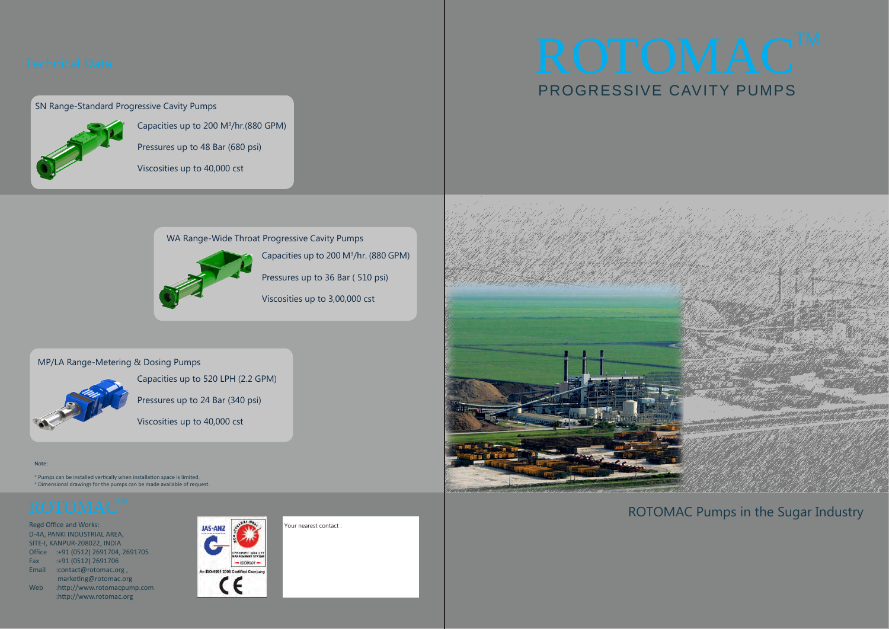Regd Office and Works: D-4A, PANKI INDUSTRIAL AREA, SITE-I, KANPUR-208022, INDIA Office :+91 (0512) 2691704, 2691705 Fax :+91 (0512) 2691706 Email :contact@rotomac.org , marketing@rotomac.org Web :http://www.rotomacpump.com :http://www.rotomac.org



Your nearest contact :



### Note:

\* Pumps can be installed vertically when installation space is limited. \* Dimensional drawings for the pumps can be made available of request.

# ROTOMACTM PROGRESSIVE CAVITY PUMPS

### SN Range-Standard Progressive Cavity Pumps



WA Range-Wide Throat Progressive Cavity Pumps



### MP/LA Range-Metering & Dosing Pumps



Capacities up to 200 M3 /hr.(880 GPM)

Pressures up to 48 Bar (680 psi)

Viscosities up to 40,000 cst

Capacities up to 200 M3 /hr. (880 GPM)

Pressures up to 36 Bar ( 510 psi)

Viscosities up to 3,00,000 cst

Capacities up to 520 LPH (2.2 GPM)

Pressures up to 24 Bar (340 psi)

Viscosities up to 40,000 cst

ROTOMAC Pumps in the Sugar Industry